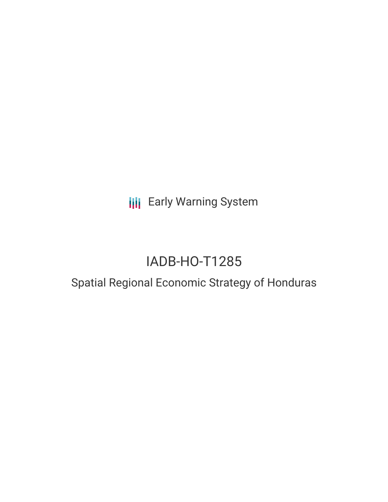**III** Early Warning System

# IADB-HO-T1285

# Spatial Regional Economic Strategy of Honduras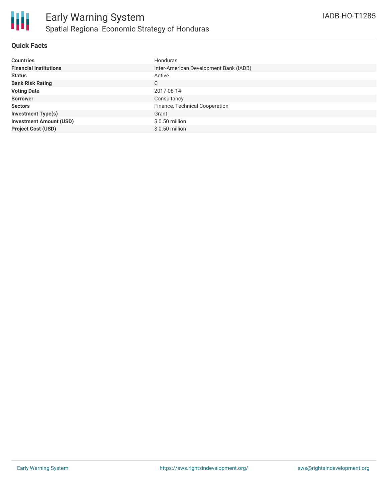

#### **Quick Facts**

| <b>Countries</b>               | Honduras                               |
|--------------------------------|----------------------------------------|
| <b>Financial Institutions</b>  | Inter-American Development Bank (IADB) |
| <b>Status</b>                  | Active                                 |
| <b>Bank Risk Rating</b>        | C                                      |
| <b>Voting Date</b>             | 2017-08-14                             |
| <b>Borrower</b>                | Consultancy                            |
| <b>Sectors</b>                 | Finance, Technical Cooperation         |
| <b>Investment Type(s)</b>      | Grant                                  |
| <b>Investment Amount (USD)</b> | $$0.50$ million                        |
| <b>Project Cost (USD)</b>      | $$0.50$ million                        |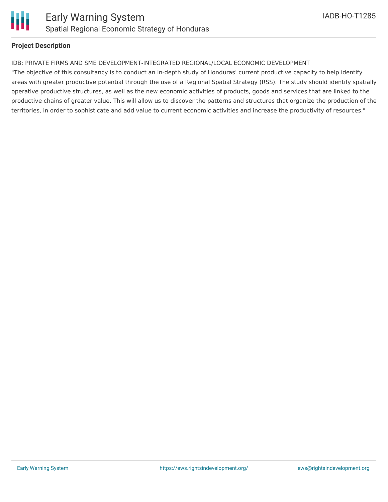

#### **Project Description**

#### IDB: PRIVATE FIRMS AND SME DEVELOPMENT-INTEGRATED REGIONAL/LOCAL ECONOMIC DEVELOPMENT

"The objective of this consultancy is to conduct an in-depth study of Honduras' current productive capacity to help identify areas with greater productive potential through the use of a Regional Spatial Strategy (RSS). The study should identify spatially operative productive structures, as well as the new economic activities of products, goods and services that are linked to the productive chains of greater value. This will allow us to discover the patterns and structures that organize the production of the territories, in order to sophisticate and add value to current economic activities and increase the productivity of resources."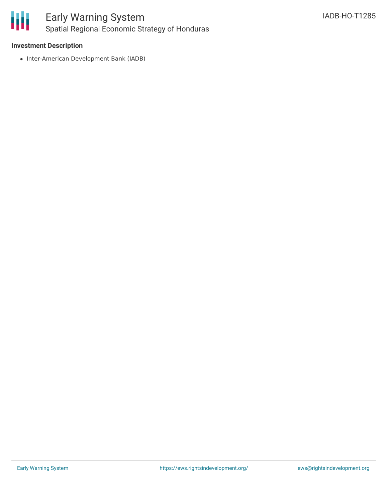

## **Investment Description**

• Inter-American Development Bank (IADB)